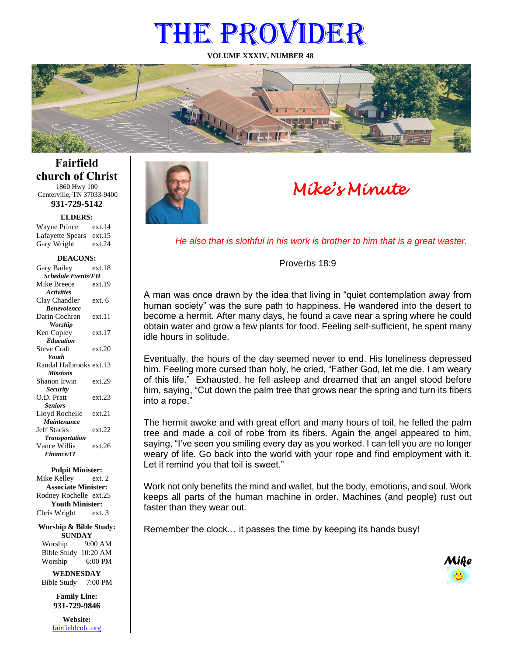# THE PROVIDER

**VOLUME XXXIV, NUMBER 48**



**Fairfield church of Christ** 1860 Hwy 100

Centerville, TN 37033-9400 **931-729-5142**

**ELDERS:**

Gary Wright ext.24 Wayne Prince ext.14 Lafayette Spears ext.15

#### **DEACONS:**

| Gary Bailey               | ext 18 |
|---------------------------|--------|
| <b>Schedule Events/FH</b> |        |
| Mike Breece               | ext.19 |
| <b>Activities</b>         |        |
| Clay Chandler             | ext. 6 |
| <b>Benevolence</b>        |        |
| Darin Cochran             | ext.11 |
| <b>Worship</b>            |        |
| Ken Copley                | ext.17 |
| <b>Education</b>          |        |
| <b>Steve Craft</b>        | ext.20 |
| Youth                     |        |
| Randal Halbrooks ext.13   |        |
| <b>Missions</b>           |        |
| Shanon Irwin              | ext.29 |
| <b>Security</b>           |        |
| O.D. Pratt                | ext.23 |
| <b>Seniors</b>            |        |
| Lloyd Rochelle            | ext.21 |
| Maintenance               |        |
| <b>Jeff Stacks</b>        | ext.22 |
| <b>Transportation</b>     |        |
| Vance Willis              | ext.26 |
| <b>Finance/IT</b>         |        |

#### **Pulpit Minister:**

Mike Kelley ext. 2 **Associate Minister:** Rodney Rochelle ext.25 **Youth Minister:** Chris Wright ext. 3

**Worship & Bible Study: SUNDAY** Worship 9:00 AM

Bible Study 10:20 AM Worship 6:00 PM

**WEDNESDAY** Bible Study 7:00 PM

> **Family Line: 931-729-9846**

**Website:** [fairfieldcofc.org](file:///C:/Users/RickJoyce/Documents/Fairfield%20Website%20Files/fairfieldchurchofchrist.org)



# *Mike's Minute*

*He also that is slothful in his work is brother to him that is a great waster.*

Proverbs 18:9

A man was once drawn by the idea that living in "quiet contemplation away from human society" was the sure path to happiness. He wandered into the desert to become a hermit. After many days, he found a cave near a spring where he could obtain water and grow a few plants for food. Feeling self-sufficient, he spent many idle hours in solitude.

Eventually, the hours of the day seemed never to end. His loneliness depressed him. Feeling more cursed than holy, he cried, "Father God, let me die. I am weary of this life." Exhausted, he fell asleep and dreamed that an angel stood before him, saying, "Cut down the palm tree that grows near the spring and turn its fibers into a rope."

The hermit awoke and with great effort and many hours of toil, he felled the palm tree and made a coil of robe from its fibers. Again the angel appeared to him, saying, "I've seen you smiling every day as you worked. I can tell you are no longer weary of life. Go back into the world with your rope and find employment with it. Let it remind you that toil is sweet."

Work not only benefits the mind and wallet, but the body, emotions, and soul. Work keeps all parts of the human machine in order. Machines (and people) rust out faster than they wear out.

Remember the clock… it passes the time by keeping its hands busy!

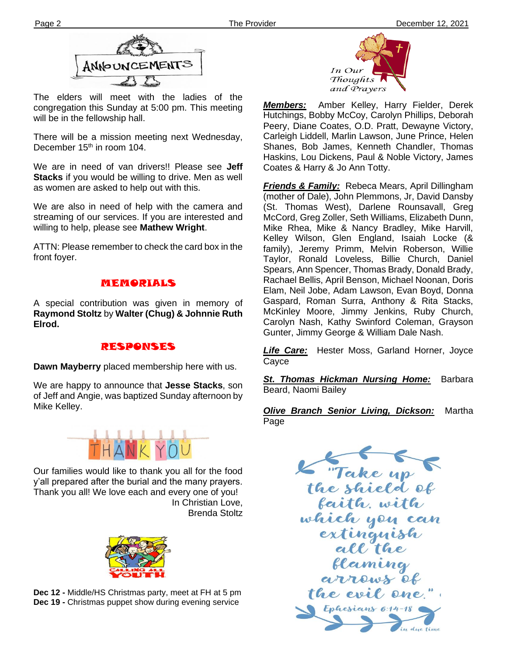

The elders will meet with the ladies of the congregation this Sunday at 5:00 pm. This meeting will be in the fellowship hall.

There will be a mission meeting next Wednesday, December 15<sup>th</sup> in room 104.

We are in need of van drivers!! Please see Jeff **Stacks** if you would be willing to drive. Men as well as women are asked to help out with this.

We are also in need of help with the camera and streaming of our services. If you are interested and willing to help, please see **Mathew Wright**.

ATTN: Please remember to check the card box in the front foyer.

## MEMORIALS

A special contribution was given in memory of **Raymond Stoltz** by **Walter (Chug) & Johnnie Ruth Elrod.**

## RESPONSES

**Dawn Mayberry** placed membership here with us.

We are happy to announce that **Jesse Stacks**, son of Jeff and Angie, was baptized Sunday afternoon by Mike Kelley.



**filem** y'all prepared after the burial and the many prayers. Our families would like to thank you all for the food Thank you all! We love each and every one of you! In Christian Love, Brenda Stoltz



**Dec 12 -** Middle/HS Christmas party, meet at FH at 5 pm **Dec 19 -** Christmas puppet show during evening service



*Members:* Amber Kelley, Harry Fielder, Derek Hutchings, Bobby McCoy, Carolyn Phillips, Deborah Peery, Diane Coates, O.D. Pratt, Dewayne Victory, Carleigh Liddell, Marlin Lawson, June Prince, Helen Shanes, Bob James, Kenneth Chandler, Thomas Haskins, Lou Dickens, Paul & Noble Victory, James Coates & Harry & Jo Ann Totty.

*Friends & Family:* Rebeca Mears, April Dillingham (mother of Dale), John Plemmons, Jr, David Dansby (St. Thomas West), Darlene Rounsavall, Greg McCord, Greg Zoller, Seth Williams, Elizabeth Dunn, Mike Rhea, Mike & Nancy Bradley, Mike Harvill, Kelley Wilson, Glen England, Isaiah Locke (& family), Jeremy Primm, Melvin Roberson, Willie Taylor, Ronald Loveless, Billie Church, Daniel Spears, Ann Spencer, Thomas Brady, Donald Brady, Rachael Bellis, April Benson, Michael Noonan, Doris Elam, Neil Jobe, Adam Lawson, Evan Boyd, Donna Gaspard, Roman Surra, Anthony & Rita Stacks, McKinley Moore, Jimmy Jenkins, Ruby Church, Carolyn Nash, Kathy Swinford Coleman, Grayson Gunter, Jimmy George & William Dale Nash.

*Life Care:* Hester Moss, Garland Horner, Joyce **Cayce** 

*St. Thomas Hickman Nursing Home:* Barbara Beard, Naomi Bailey

*Olive Branch Senior Living, Dickson:* Martha Page

Take up faith, with which you can<br>extinguish<br>all the<br>flaming<br>arrows of the evil one". Ephesians  $6:14-18$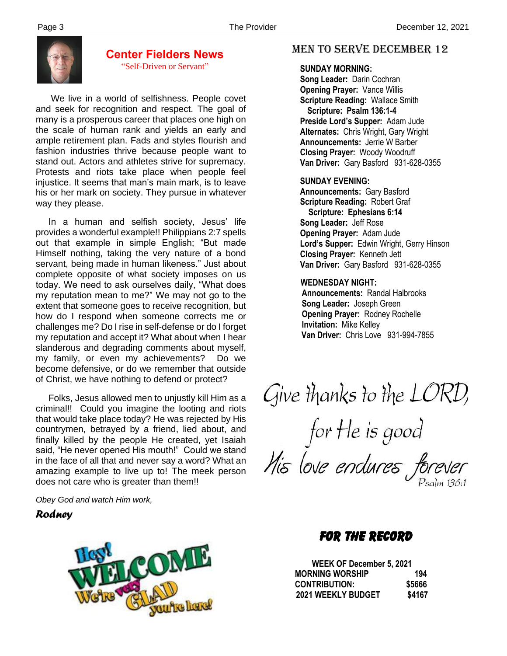

#### **Center Fielders News** "Self-Driven or Servant"

 We live in a world of selfishness. People covet and seek for recognition and respect. The goal of many is a prosperous career that places one high on the scale of human rank and yields an early and ample retirement plan. Fads and styles flourish and fashion industries thrive because people want to stand out. Actors and athletes strive for supremacy. Protests and riots take place when people feel injustice. It seems that man's main mark, is to leave his or her mark on society. They pursue in whatever way they please.

 In a human and selfish society, Jesus' life provides a wonderful example!! Philippians 2:7 spells out that example in simple English; "But made Himself nothing, taking the very nature of a bond servant, being made in human likeness." Just about complete opposite of what society imposes on us today. We need to ask ourselves daily, "What does my reputation mean to me?" We may not go to the extent that someone goes to receive recognition, but how do I respond when someone corrects me or challenges me? Do I rise in self-defense or do I forget my reputation and accept it? What about when I hear slanderous and degrading comments about myself, my family, or even my achievements? Do we become defensive, or do we remember that outside of Christ, we have nothing to defend or protect?

amazing example to live up to! The meek person Folks, Jesus allowed men to unjustly kill Him as a criminal!! Could you imagine the looting and riots that would take place today? He was rejected by His countrymen, betrayed by a friend, lied about, and finally killed by the people He created, yet Isaiah said, "He never opened His mouth!" Could we stand in the face of all that and never say a word? What an does not care who is greater than them!!

*Obey God and watch Him work,*

*Rodney*



# MEN TO SERVE december 12

#### **SUNDAY MORNING:**

**Song Leader:** Darin Cochran  **Opening Prayer:** Vance Willis **Scripture Reading:** Wallace Smith  **Scripture: Psalm 136:1-4 Preside Lord's Supper:** Adam Jude  **Alternates:** Chris Wright, Gary Wright  **Announcements:** Jerrie W Barber  **Closing Prayer:** Woody Woodruff **Van Driver:** Gary Basford 931-628-0355

#### **SUNDAY EVENING:**

**Announcements:** Gary Basford **Scripture Reading:** Robert Graf  **Scripture: Ephesians 6:14 Song Leader:** Jeff Rose **Opening Prayer:** Adam Jude **Lord's Supper:** Edwin Wright, Gerry Hinson **Closing Prayer:** Kenneth Jett **Van Driver:** Gary Basford 931-628-0355

#### **WEDNESDAY NIGHT:**

**Announcements:** Randal Halbrooks **Song Leader:** Joseph Green **Opening Prayer:** Rodney Rochelle **Invitation:** Mike Kelley  **Van Driver:** Chris Love 931-994-7855

Give thanks to the LORD,

# FOR THE RECORD

 **WEEK OF December 5, 2021 MORNING WORSHIP 194 CONTRIBUTION: \$5666 2021 WEEKLY BUDGET \$4167**